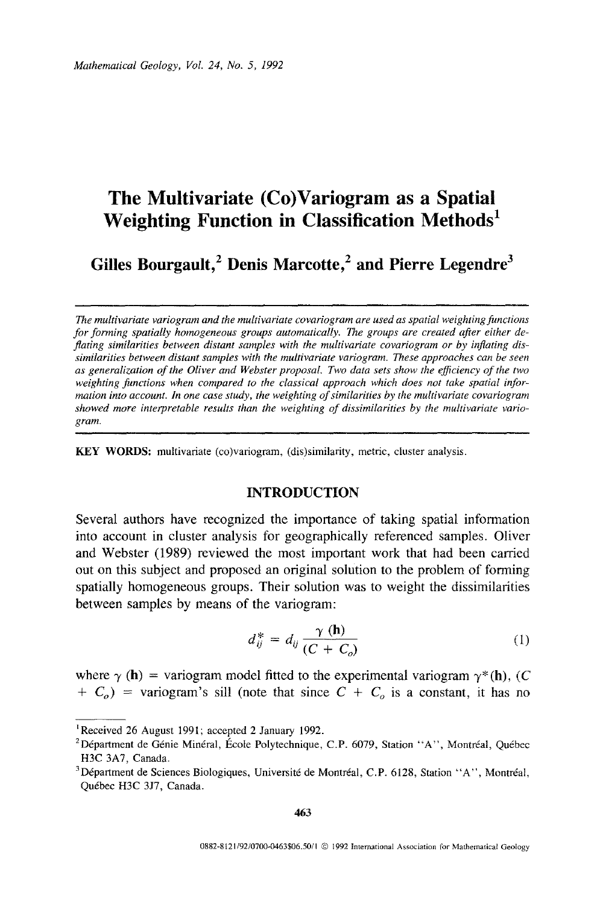# **The Multivariate (Co)Variogram as a Spatial Weighting Function in Classification Methods 1**

Gilles Bourgault,<sup>2</sup> Denis Marcotte,<sup>2</sup> and Pierre Legendre<sup>3</sup>

*The multivariate variogram and the multivariate covariogram are used as spatial weighting functions for forming spatially homogeneous groups automatically. The groups are created after either deflating similarities between distant samples with the multivariate covariogram or by inflating dissimilarities between distant samples with the multivariate variogram. These approaches can be seen as generalization of the Oliver and Webster proposal. Two data sets show the efficiency of the two weighting functions when compared to the classical approach which does not take spatial information into account. In one case study, the weighting of similarities by the multivariate covariogram showed more interpretable results than the weighting of dissimilarities by the multivariate variogram.* 

KEY WORDS: multivariate (co)variogram, (dis)similarity, metric, cluster analysis.

# **INTRODUCTION**

**Several authors have recognized the importance of taking spatial information into account in cluster analysis for geographically referenced samples. Oliver and Webster (1989) reviewed the most important work that had been carried out on this subject and proposed an original solution to the problem of forming spatially homogeneous groups. Their solution was to weight the dissimilarities between samples by means of the variogram:** 

$$
d_{ij}^* = d_{ij} \frac{\gamma(\mathbf{h})}{(C + C_o)}
$$
 (1)

where  $\gamma$  (h) = variogram model fitted to the experimental variogram  $\gamma^*$  (h), (C)  $+ C_o$ ) = variogram's sill (note that since  $C + C_o$  is a constant, it has no

<sup>&</sup>lt;sup>1</sup> Received 26 August 1991; accepted 2 January 1992.

<sup>&</sup>lt;sup>2</sup> Départment de Génie Minéral, École Polytechnique, C.P. 6079, Station ''A'', Montréal, Québec H3C 3A7, Canada.

 $3$ Départment de Sciences Biologiques, Université de Montréal, C.P. 6128, Station "A", Montréal, Québec H3C 3J7, Canada.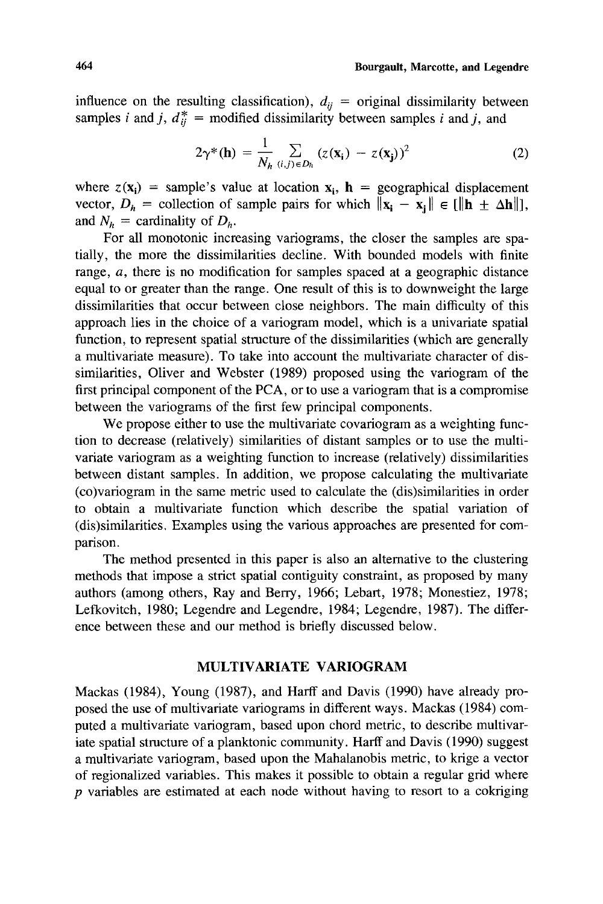influence on the resulting classification),  $d_{ij}$  = original dissimilarity between samples i and j,  $d_{ij}^*$  = modified dissimilarity between samples i and j, and

$$
2\gamma^*(\mathbf{h}) = \frac{1}{N_h} \sum_{(i,j)\in D_h} (z(\mathbf{x_i}) - z(\mathbf{x_j}))^2
$$
 (2)

where  $z(x_i)$  = sample's value at location  $x_i$ ,  $h$  = geographical displacement vector,  $D_h$  = collection of sample pairs for which  $\|\mathbf{x}_i - \mathbf{x}_i\| \in [\|\mathbf{h} \pm \Delta \mathbf{h}\|]$ , and  $N_h$  = cardinality of  $D_h$ .

For all monotonic increasing variograms, the closer the samples are spatially, the more the dissimilarities decline. With bounded models with finite range, a, there is no modification for samples spaced at a geographic distance equal to or greater than the range. One result of this is to downweight the large dissimilarities that occur between close neighbors. The main difficulty of this approach lies in the choice of a variogram model, which is a univariate spatial function, to represent spatial structure of the dissimilarities (which are generally a multivariate measure). To take into account the multivariate character of dissimilarities, Oliver and Webster (1989) proposed using the variogram of the first principal component of the PCA, or to use a variogram that is a compromise between the variograms of the first few principal components.

We propose either to use the multivariate covariogram as a weighting function to decrease (relatively) similarities of distant samples or to use the multivariate variogram as a weighting function to increase (relatively) dissimilarities between distant samples. In addition, we propose calculating the multivariate (co)variogram in the same metric used to calculate the (dis)similarities in order to obtain a multivariate function which describe the spatial variation of (dis)similarities. Examples using the various approaches are presented for comparison.

The method presented in this paper is also an alternative to the clustering methods that impose a strict spatial contiguity constraint, as proposed by many authors (among others, Ray and Berry, 1966; Lebart, 1978; Monestiez, 1978; Lefkovitch, 1980; Legendre and Legendre, 1984; Legendre, 1987). The difference between these and our method is briefly discussed below.

## MULTIVARIATE VARIOGRAM

Mackas (1984), Young (1987), and Harff and Davis (1990) have already proposed the use of multivariate variograms in different ways. Mackas (1984) computed a multivariate variogram, based upon chord metric, to describe multivariate spatial structure of a planktonic community. Harff and Davis (1990) suggest a multivariate variogram, based upon the Mahalanobis metric, to krige a vector of regionalized variables. This makes it possible to obtain a regular grid where p variables are estimated at each node without having to resort to a cokriging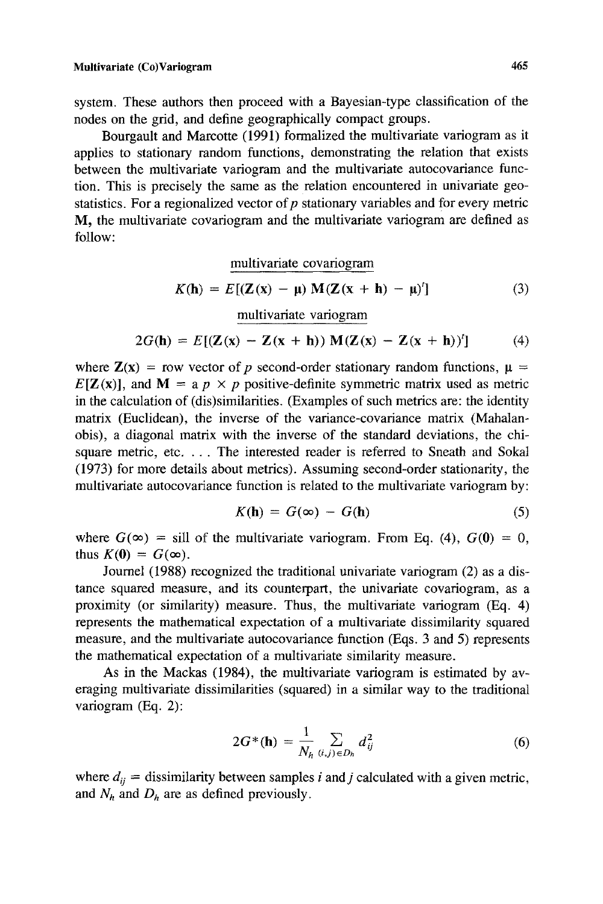system. These authors then proceed with a Bayesian-type classification of the nodes on the grid, and define geographically compact groups.

Bourgault and Marcotte (1991) formalized the multivariate variogram as it applies to stationary random functions, demonstrating the relation that exists between the multivariate variogram and the multivariate autocovariance function. This is precisely the same as the relation encountered in univariate geostatistics. For a regionalized vector of  $p$  stationary variables and for every metric M, the multivariate covariogram and the multivariate variogram are defined as follow:

## multivariate covariogram

$$
K(\mathbf{h}) = E[(\mathbf{Z}(\mathbf{x}) - \mathbf{\mu}) \mathbf{M}(\mathbf{Z}(\mathbf{x} + \mathbf{h}) - \mathbf{\mu})'] \tag{3}
$$
  
multivariate variogram

 $2G(h) = E[(\mathbf{Z}(x) - \mathbf{Z}(x+h)) \mathbf{M}(\mathbf{Z}(x) - \mathbf{Z}(x+h))']$  (4)

where  $\mathbf{Z}(\mathbf{x})$  = row vector of p second-order stationary random functions,  $\mu$  =  $E[\mathbf{Z}(\mathbf{x})]$ , and  $\mathbf{M} = a p \times p$  positive-definite symmetric matrix used as metric in the calculation of (dis)similarities. (Examples of such metrics are: the identity matrix (Euclidean), the inverse of the variance-covariance matrix (Mahalanobis), a diagonal matrix with the inverse of the standard deviations, the chisquare metric, etc. . . . The interested reader is referred to Sneath and Sokal (1973) for more details about metrics). Assuming second-order stationarity, the multivariate autocovariance function is related to the multivariate variogram by:

$$
K(\mathbf{h}) = G(\infty) - G(\mathbf{h}) \tag{5}
$$

where  $G(\infty) = \text{sil}$  of the multivariate variogram. From Eq. (4),  $G(0) = 0$ , thus  $K(0) = G(\infty)$ .

Joumel (1988) recognized the traditional univariate variogram (2) as a distance squared measure, and its counterpart, the univariate covariogram, as a proximity (or similarity) measure. Thus, the multivariate variogram (Eq. 4) represents the mathematical expectation of a multivariate dissimilarity squared measure, and the multivariate autocovariance function (Eqs. 3 and 5) represents the mathematical expectation of a multivariate similarity measure.

As in the Mackas (1984), the multivariate variogram is estimated by averaging multivariate dissimilarities (squared) in a similar way to the traditional variogram (Eq. 2):

$$
2G^*(\mathbf{h}) = \frac{1}{N_h} \sum_{(i,j) \in D_h} d_{ij}^2
$$
 (6)

where  $d_{ij}$  = dissimilarity between samples i and j calculated with a given metric, and  $N_h$  and  $D_h$  are as defined previously.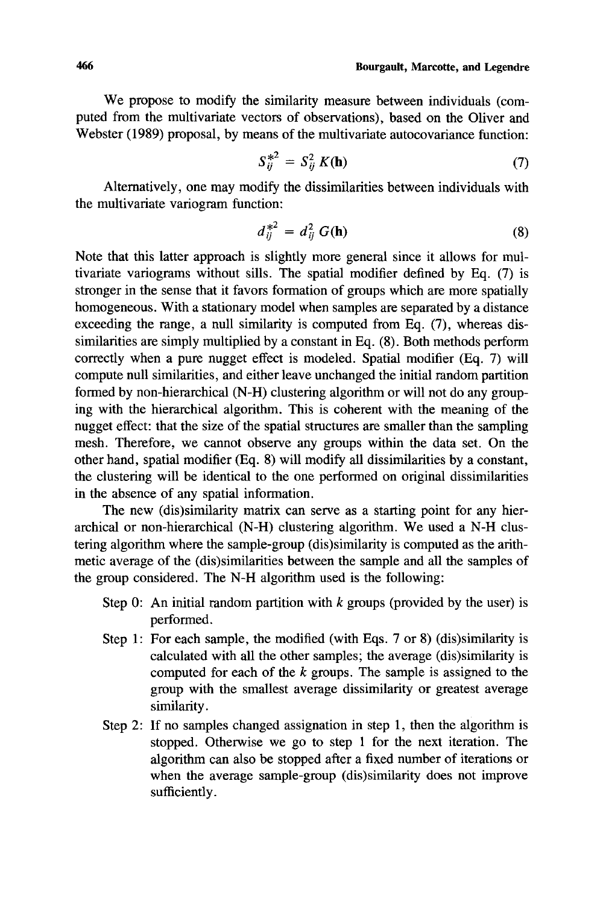We propose to modify the similarity measure between individuals (computed from the multivariate vectors of observations), based on the Oliver and Webster (1989) proposal, by means of the multivariate autocovariance function:

$$
S_{ij}^{*2} = S_{ij}^2 K(\mathbf{h})
$$
 (7)

Alternatively, one may modify the dissimilarities between individuals with the multivariate variogram function:

$$
d_{ij}^{*^2} = d_{ij}^2 G(\mathbf{h})
$$
 (8)

Note that this latter approach is slightly more general since it allows for multivariate variograms without sills. The spatial modifier defined by Eq. (7) is stronger in the sense that it favors formation of groups which are more spatially homogeneous. With a stationary model when samples are separated by a distance exceeding the range, a null similarity is computed from Eq. (7), whereas dissimilarities are simply multiplied by a constant in Eq. (8). Both methods perform correctly when a pure nugget effect is modeled. Spatial modifier (Eq. 7) will compute null similarities, and either leave unchanged the initial random partition formed by non-hierarchical (N-H) clustering algorithm or will not do any grouping with the hierarchical algorithm. This is coherent with the meaning of the nugget effect: that the size of the spatial structures are smaller than the sampling mesh. Therefore, we cannot observe any groups within the data set. On the other hand, spatial modifier (Eq. 8) will modify all dissimilarities by a constant, the clustering will be identical to the one performed on original dissimilarities in the absence of any spatial information.

The new (dis)similarity matrix can serve as a starting point for any hierarchical or non-hierarchical (N-H) clustering algorithm. We used a N-H clustering algorithm where the sample-group (dis)similarity is computed as the arithmetic average of the (dis)similarities between the sample and all the samples of the group considered. The N-H algorithm used is the following:

- Step 0: An initial random partition with  $k$  groups (provided by the user) is performed.
- Step 1: For each sample, the modified (with Eqs. 7 or 8) (dis)similarity is calculated with all the other samples; the average (dis)similarity is computed for each of the  $k$  groups. The sample is assigned to the group with the smallest average dissimilarity or greatest average similarity.
- Step 2: If no samples changed assignation in step 1, then the algorithm is stopped. Otherwise we go to step 1 for the next iteration. The algorithm can also be stopped after a fixed number of iterations or when the average sample-group (dis)similarity does not improve sufficiently.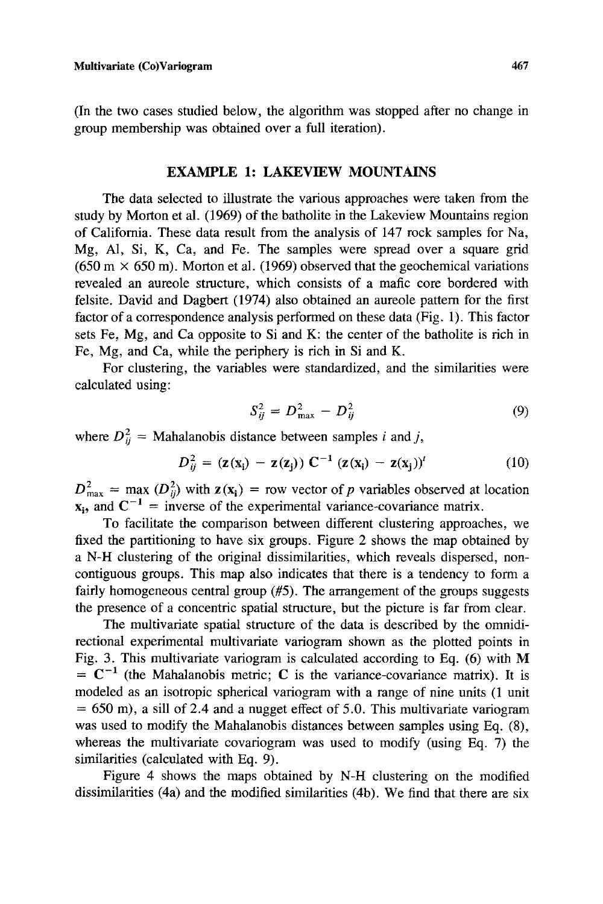(In the two cases studied below, the algorithm was stopped after no change in group membership was obtained over a full iteration).

# **EXAMPLE 1:** LAKEVIEW MOUNTAINS

The data selected to illustrate the various approaches were taken from the study by Morton et al. (1969) of the batholite in the Lakeview Mountains region of California. These data result from the analysis of 147 rock samples for Na, Mg, Al, Si, K, Ca, and Fe. The samples were spread over a square grid  $(650 \text{ m} \times 650 \text{ m})$ . Morton et al. (1969) observed that the geochemical variations revealed an aureole structure, which consists of a mafic core bordered with felsite. David and Dagbert (1974) also obtained an aureole pattern for the first factor of a correspondence analysis performed on these data (Fig. 1). This factor sets Fe, Mg, and Ca opposite to  $Si$  and K: the center of the batholite is rich in Fe, Mg, and Ca, while the periphery is rich in Si and K.

For clustering, the variables were standardized, and the similarities were calculated using:

$$
S_{ij}^2 = D_{\text{max}}^2 - D_{ij}^2 \tag{9}
$$

where  $D_{ii}^2$  = Mahalanobis distance between samples *i* and *j*,

$$
D_{ij}^2 = (\mathbf{z}(\mathbf{x}_i) - \mathbf{z}(\mathbf{z}_j)) \mathbf{C}^{-1} (\mathbf{z}(\mathbf{x}_i) - \mathbf{z}(\mathbf{x}_j))^t
$$
 (10)

 $D_{\text{max}}^2$  = max  $(D_{ii}^2)$  with  $z(x_i)$  = row vector of p variables observed at location  $x_i$ , and  $C^{-1}$  = inverse of the experimental variance-covariance matrix.

To facilitate the comparison between different clustering approaches, we fixed the partitioning to have six groups. Figure 2 shows the map obtained by a N-H clustering of the original dissimilarities, which reveals dispersed, noncontiguous groups. This map also indicates that there is a tendency to form a fairly homogeneous central group (#5). The arrangement of the groups suggests the presence of a concentric spatial structure, but the picture is far from clear.

The multivariate spatial structure of the data is described by the omnidirectional experimental multivariate variogram shown as the plotted points in Fig. 3. This multivariate variogram is calculated according to Eq. (6) with M  $= C^{-1}$  (the Mahalanobis metric; C is the variance-covariance matrix). It is modeled as an isotropic spherical variogram with a range of nine units (1 unit  $= 650$  m), a sill of 2.4 and a nugget effect of 5.0. This multivariate variogram was used to modify the Mahalanobis distances between samples using Eq. (8), whereas the multivariate covariogram was used to modify (using Eq. 7) the similarities (calculated with Eq. 9).

Figure 4 shows the maps obtained by N-H clustering on the modified dissimilarities (4a) and the modified similarities (4b). We find that there are six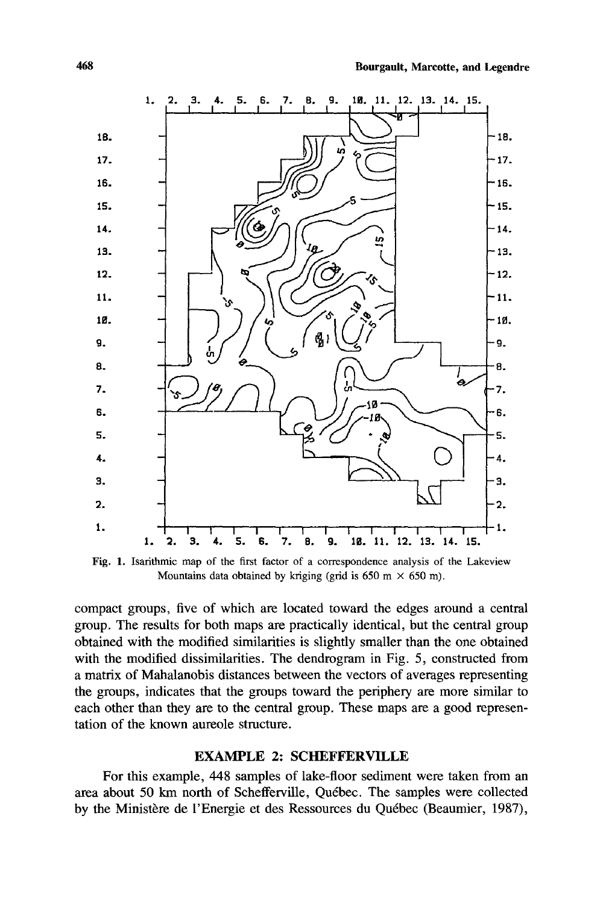

Fig. 1. Isarithmic map of the first factor of a correspondence analysis of the Lakeview Mountains data obtained by kriging (grid is  $650 \text{ m} \times 650 \text{ m}$ ).

compact groups, five of which are located toward the edges around a central group. The results for both maps are practically identical, but the central group obtained with the modified similarities is slightly smaller than the one obtained with the modified dissimilarities. The dendrogram in Fig. 5, constructed from a matrix of Mahalanobis distances between the vectors of averages representing the groups, indicates that the groups toward the periphery are more similar to each other than they are to the central group. These maps are a good representation of the known aureole structure.

#### EXAMPLE 2: SCHEFFERVILLE

For this example, 448 samples of lake-floor sediment were taken from an area about 50 km north of Schefferville, Québec. The samples were collected by the Ministère de l'Energie et des Ressources du Québec (Beaumier, 1987),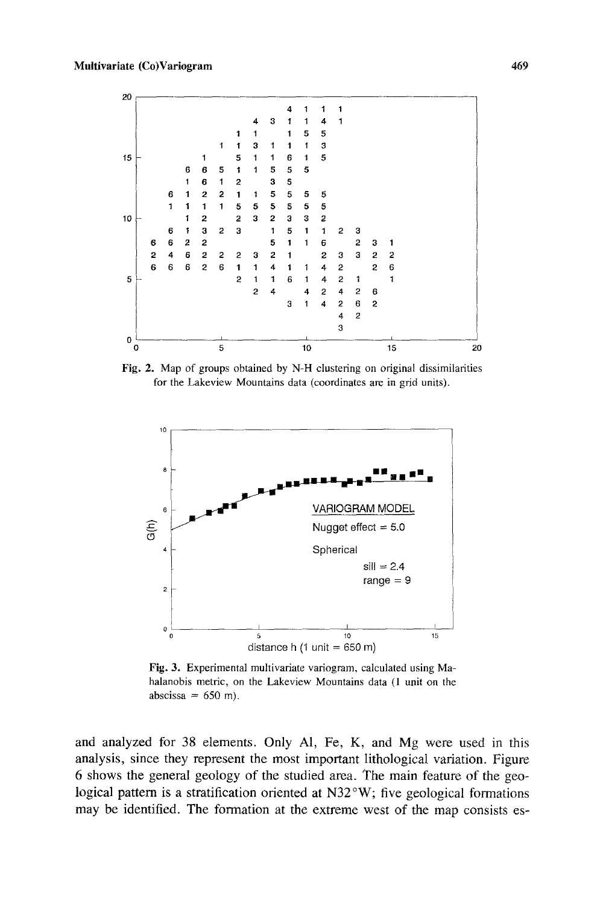

Fig. 2. Map of groups obtained by N-H clustering on original dissimilarities for the Lakeview Mountains data (coordinates are in grid units).



Fig. 3. Experimental multivariate variogram, calculated using Mahalanobis metric, on the Lakeview Mountains data (1 unit on the abscissa =  $650$  m).

and analyzed for 38 elements. Only A1, Fe, K, and Mg were used in this analysis, since they represent the most important lithological variation. Figure 6 shows the general geology of the studied area. The main feature of the geological pattern is a stratification oriented at N32°W; five geological formations may be identified. The formation at the extreme west of the map consists es-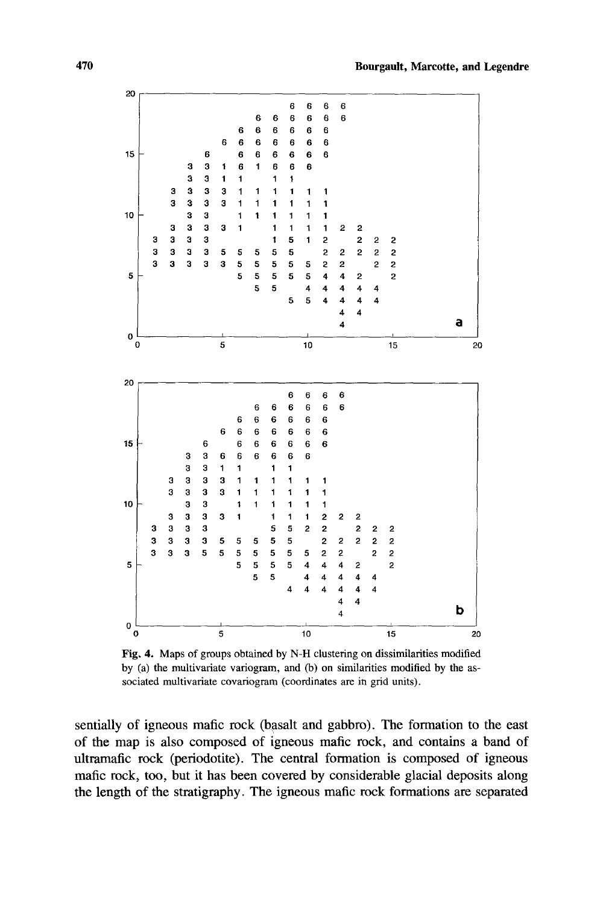

Fig. 4. Maps of groups obtained by N-H clustering on dissimilarities modified by (a) the multivariate variogram, and (b) on similarities modified by the associated multivariate covariogram (coordinates are in grid units).

sentially of igneous mafic rock (basalt and gabbro). The formation to the east of the map is also composed of igneous mafic rock, and contains a band of ultramafic rock (periodotite). The central formation is composed of igneous mafic rock, too, but it has been covered by considerable glacial deposits along the length of the stratigraphy. The igneous mafic rock formations are separated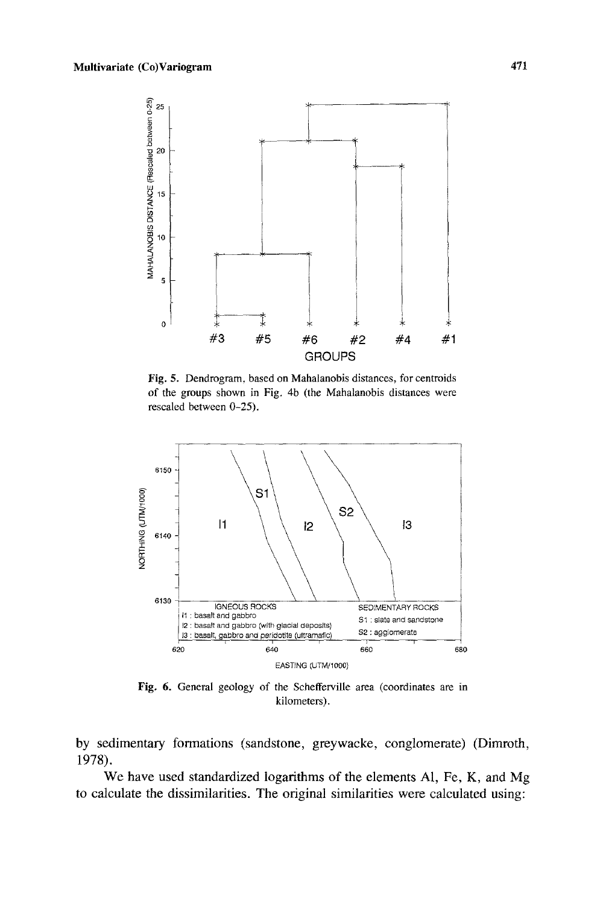

**Fig. 5. Dendrogram, based on Mahalanobis distances, for centroids of the groups shown in Fig. 4b (the Mahalanobis distances were rescaled between 0-25).** 



**Fig, 6. General geology of the Schefferville area (coordinates are in kilometers).** 

**by sedimentary formations (sandstone, greywacke, conglomerate) (Dimroth, 1978).** 

**We have used standardized logarithms of the elements A1, Fe, K, and Mg to calculate the dissimilarities. The original similarities were calculated using:**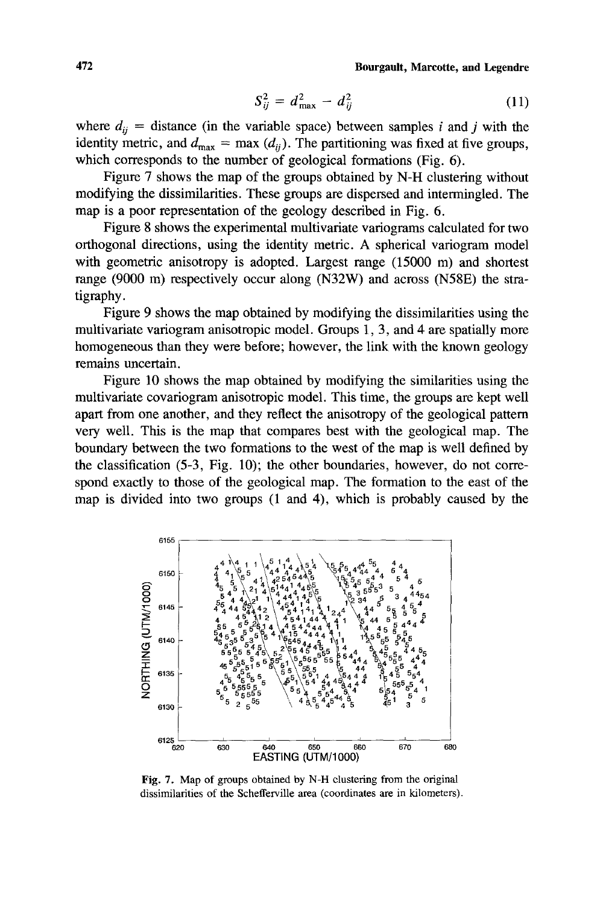$$
S_{ij}^2 = d_{\text{max}}^2 - d_{ij}^2 \tag{11}
$$

where  $d_{ii}$  = distance (in the variable space) between samples i and j with the identity metric, and  $d_{\text{max}} = \text{max} (d_{ij})$ . The partitioning was fixed at five groups, which corresponds to the number of geological formations (Fig. 6).

Figure 7 shows the map of the groups obtained by N-H clustering without modifying the dissimilarities. These groups are dispersed and intermingled. The map is a poor representation of the geology described in Fig. 6.

Figure 8 shows the experimental multivariate variograms calculated for two orthogonal directions, using the identity metric. A spherical variogram model with geometric anisotropy is adopted. Largest range (15000 m) and shortest range (9000 m) respectively occur along (N32W) and across (N58E) the stratigraphy.

Figure 9 shows the map obtained by modifying the dissimilarities using the multivariate variogram anisotropic model. Groups 1, 3, and 4 are spatially more homogeneous than they were before; however, the link with the known geology remains uncertain.

Figure 10 shows the map obtained by modifying the similarities using the multivariate covariogram anisotropic model. This time, the groups are kept well apart from one another, and they reflect the anisotropy of the geological pattern very well. This is the map that compares best with the geological map. The boundary between the two formations to the west of the map is well defined by the classification (5-3, Fig. 10); the other boundaries, however, do not correspond exactly to those of the geological map. The formation to the east of the map is divided into two groups (1 and 4), which is probably caused by the



Fig. 7. Map of groups obtained by N-H clustering from the original dissimilarities of the Schefferville area (coordinates are in kilometers).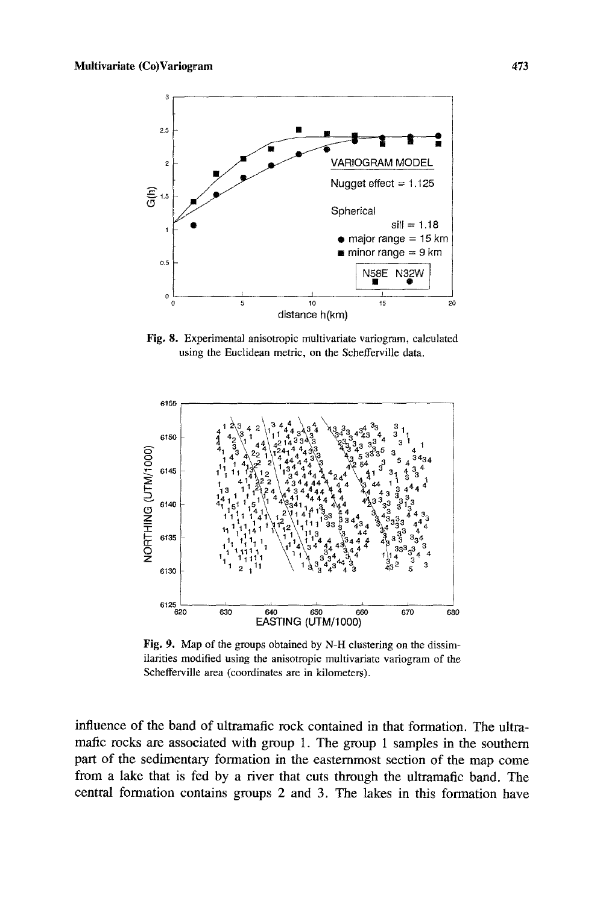

Fig. 8. Experimental anisotropic multivariate variogram, **calculated using the** Euclidean metric, **on the Schefferville data.** 



Fig. 9. Map of the groups obtained by N-H clustering on the dissimilarities modified **using the anisotropic** multivariate variogram of the Schefferville area (coordinates are in kilometers).

**influence of the band of ultramafic rock contained in that formation. The ultramafic rocks are associated with group 1. The group 1 samples in the southern part of the sedimentary formation in the eastemmost section of the map come from a lake that is fed by a river that cuts through the ultramafic band. The central formation contains groups 2 and 3. The lakes in this formation have**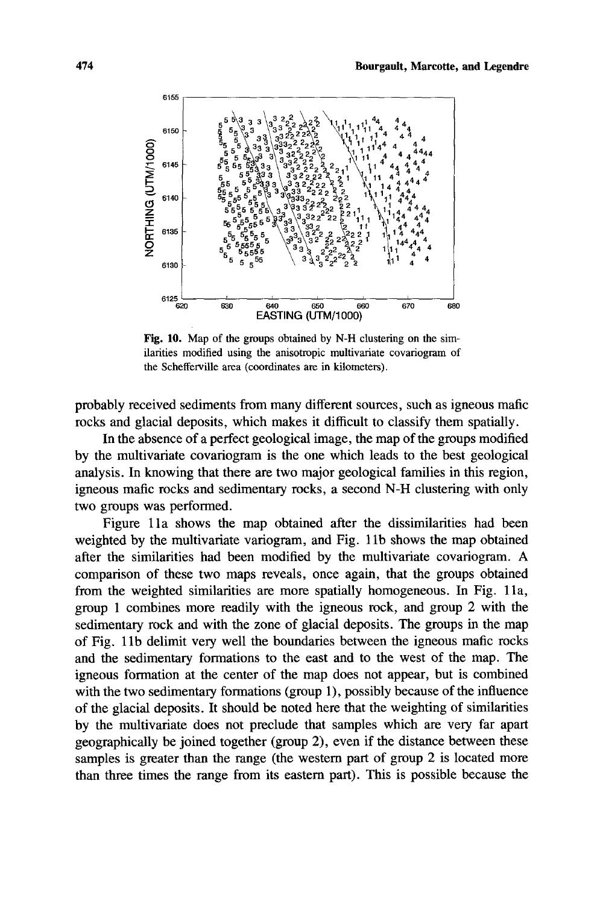

Fig. 10. Map of the groups obtained by N-H clustering on the similarities modified using the anisotropic multivariate covariogram of the Schefferville area (coordinates are in kilometers).

probably received sediments from many different sources, such as igneous mafic rocks and glacial deposits, which makes it difficult to classify them spatially.

In the absence of a perfect geological image, the map of the groups modified by the multivariate covariogram is the one which leads to the best geological analysis. In knowing that there are two major geological families in this region, igneous mafic rocks and sedimentary rocks, a second N-H clustering with only two groups was performed.

Figure 11a shows the map obtained after the dissimilarities had been weighted by the multivariate variogram, and Fig. 1 lb shows the map obtained after the similarities had been modified by the multivariate covariogram. A comparison of these two maps reveals, once again, that the groups obtained from the weighted similarities are more spatially homogeneous. In Fig. 1 la, group 1 combines more readily with the igneous rock, and group 2 with the sedimentary rock and with the zone of glacial deposits. The groups in the map of Fig. 1 lb delimit very well the boundaries between the igneous mafic rocks and the sedimentary formations to the east and to the west of the map. The igneous formation at the center of the map does not appear, but is combined with the two sedimentary formations (group 1), possibly because of the influence of the glacial deposits. It should be noted here that the weighting of similarities by the multivariate does not preclude that samples which are very far apart geographically be joined together (group 2), even if the distance between these samples is greater than the range (the western part of group 2 is located more than three times the range from its eastern part). This is possible because the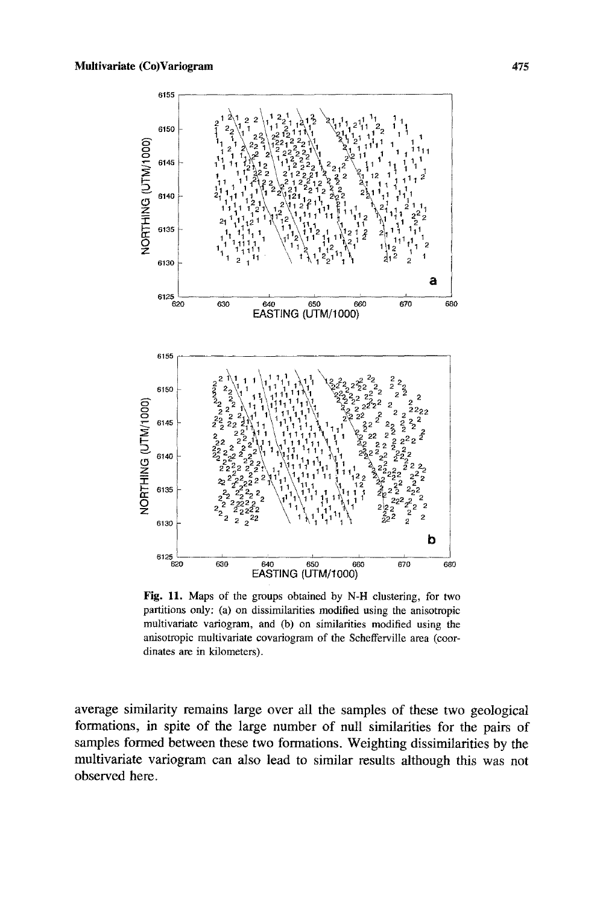

**Fig. ll. Maps of the groups obtained by N-H clustering, for two partitions only: (a) on dissimilarities modified using the anisotropic multivariate variogram, and (b) on similarities modified using the anisotropic multivariate covariogram of the Schefferville area (coordinates are in kilometers).** 

**average similarity remains large over all the samples of these two geological formations, in spite of the large number of null similarities for the pairs of samples formed between these two formations. Weighting dissimilarities by the multivariate variogram can also lead to similar results although this was not observed here.**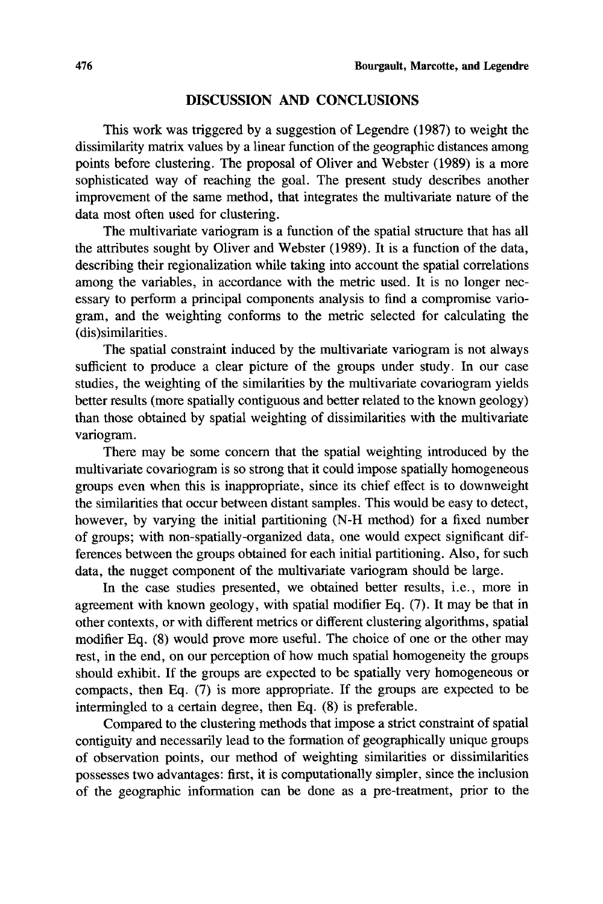# DISCUSSION AND CONCLUSIONS

This work was triggered by a suggestion of Legendre (1987) to weight the dissimilarity matrix values by a linear function of the geographic distances among points before clustering. The proposal of Oliver and Webster (1989) is a more sophisticated way of reaching the goal. The present study describes another improvement of the same method, that integrates the multivariate nature of the data most often used for clustering.

The multivariate variogram is a function of the spatial structure that has all the attributes sought by 0liver and Webster (1989). It is a function of the data, describing their regionalization while taking into account the spatial correlations among the variables, in accordance with the metric used. It is no longer neeessary to perform a principal components analysis to find a compromise variogram, and the weighting conforms to the metric selected for calculating the (dis)similarities.

The spatial constraint induced by the multivariate variogram is not always sufficient to produce a clear picture of the groups under study. In our case studies, the weighting of the similarities by the multivariate covariogram yields better results (more spatially contiguous and better related to the known geology) than those obtained by spatial weighting of dissimilarities with the multivariate variogram.

There may be some concern that the spatial weighting introduced by the multivariate covariogram is so strong that it could impose spatially homogeneous groups even when this is inappropriate, since its chief effect is to downweight the similarities that occur between distant samples. This would be easy to detect, however, by varying the initial partitioning (N-H method) for a fixed number of groups; with non-spatially-organized data, one would expect significant differences between the groups obtained for each initial partitioning. Also, for such data, the nugget component of the multivariate variogram should be large.

In the case studies presented, we obtained better results, i.e., more in agreement with known geology, with spatial modifier Eq. (7). It may be that in other contexts, or with different metrics or different clustering algorithms, spatial modifier Eq. (8) would prove more useful. The choice of one or the other may rest, in the end, on our perception of how much spatial homogeneity the groups should exhibit. If the groups are expected to be spatially very homogeneous or compacts, then Eq. (7) is more appropriate. If the groups are expected to be intermingled to a certain degree, then Eq. (8) is preferable.

Compared to the clustering methods that impose a strict constraint of spatial contiguity and necessarily lead to the formation of geographically unique groups of observation points, our method of weighting similarities or dissimilarities possesses two advantages: first, it is computationally simpler, since the inclusion of the geographic information can be done as a pre-treatment, prior to the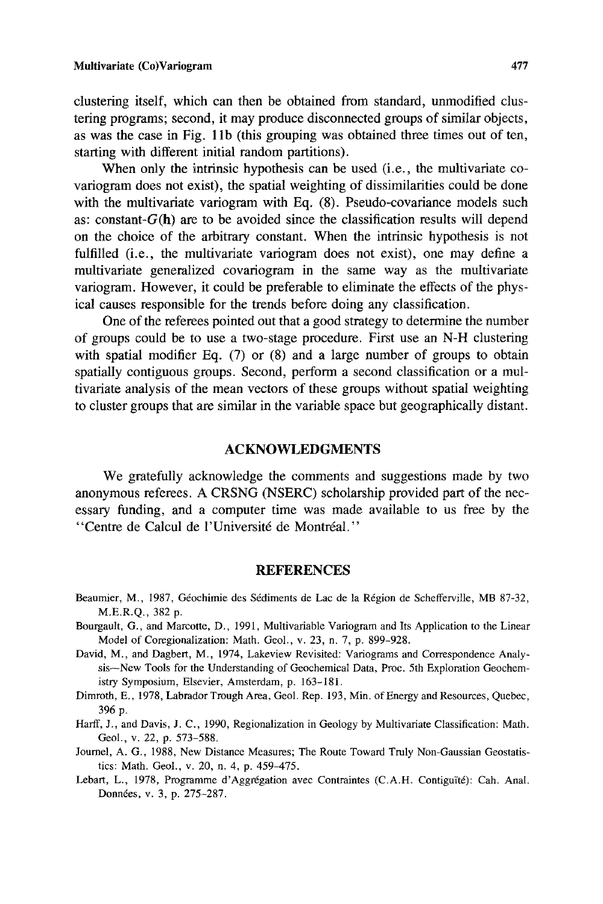clustering itself, which can then be obtained from standard, unmodified clustering programs; second, it may produce disconnected groups of similar objects, as was the case in Fig. 1 lb (this grouping was obtained three times out of ten, starting with different initial random partitions).

When only the intrinsic hypothesis can be used (i.e., the multivariate covariogram does not exist), the spatial weighting of dissimilarities could be done with the multivariate variogram with Eq.  $(8)$ . Pseudo-covariance models such as: constant- $G(h)$  are to be avoided since the classification results will depend on the choice of the arbitrary constant. When the intrinsic hypothesis is not fulfilled (i.e., the multivariate variogram does not exist), one may define a multivariate generalized covariogram in the same way as the multivariate variogram. However, it could be preferable to eliminate the effects of the physical causes responsible for the trends before doing any classification.

One of the referees pointed out that a good strategy to determine the number of groups could be to use a two-stage procedure. First use an N-H clustering with spatial modifier Eq. (7) or (8) and a large number of groups to obtain spatially contiguous groups. Second, perform a second classification or a multivariate analysis of the mean vectors of these groups without spatial weighting to cluster groups that are similar in the variable space but geographically distant.

#### ACKNOWLEDGMENTS

We gratefully acknowledge the comments and suggestions made by two anonymous referees. A CRSNG (NSERC) scholarship provided part of the necessary funding, and a computer time was made available to us free by the "Centre de Calcul de l'Université de Montréal."

#### **REFERENCES**

- Beaumier, M., 1987, Géochimie des Sédiments de Lac de la Région de Schefferville, MB 87-32, M.E.R.Q., 382 p.
- Bourgault, G., and Marcotte, D., 1991, Multivariable Variogram and Its Application to the Linear Model of Coregionalizatiou: Math. Geol., v. 23, n. 7, p. 899-928.
- David, M., and Dagbert, M., 1974, Lakeview Revisited: Variograms and Correspondence Analysis-New Tools for the Understanding of Geochemical Data, Proc. 5th Exploration Geochemistry Symposium, Elsevier, Amsterdam, p. 163-181.
- Dimroth, E., 1978, Labrador Trough Area, Geol. Rep. 193, Min. of Energy and Resources, Quebec, 396 p.
- Harff, J., and Davis, J. C., 1990, Regionalization in Geology by Multivariate Classification: Math. Geol., v. 22, p. 573-588.
- Joumel, A. G., 1988, New Distance Measures; The Route Toward Truly Non-Gaussian Geostatistics: Math. Geol., v. 20, n. 4, p. 459-475.
- Lebart, L., 1978, Programme d'Aggrégation avec Contraintes (C.A.H. Contiguïté): Cah. Anal. Données, v. 3, p. 275-287.